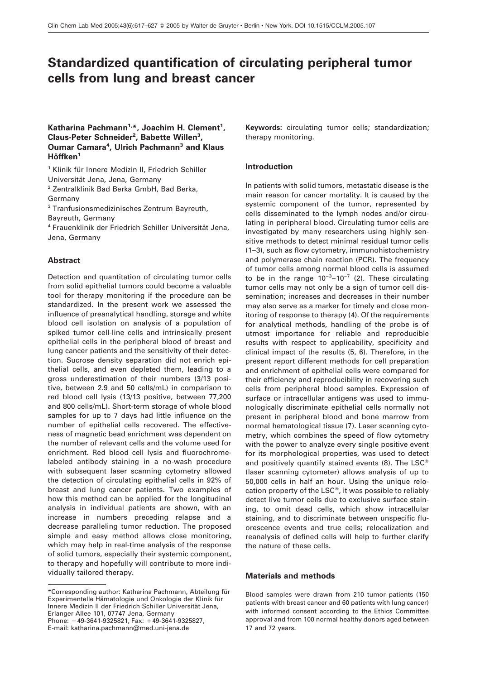# **Standardized quantification of circulating peripheral tumor cells from lung and breast cancer**

## **Katharina Pachmann1,\*, Joachim H. Clement1 , Claus-Peter Schneider2 , Babette Willen<sup>3</sup> , Oumar Camara4 , Ulrich Pachmann<sup>3</sup> and Klaus** Höffken<sup>1</sup>

<sup>1</sup> Klinik für Innere Medizin II, Friedrich Schiller Universität Jena, Jena, Germany

<sup>2</sup> Zentralklinik Bad Berka GmbH, Bad Berka, Germany

<sup>3</sup> Tranfusionsmedizinisches Zentrum Bayreuth, Bayreuth, Germany

<sup>4</sup> Frauenklinik der Friedrich Schiller Universität Jena, Jena, Germany

## **Abstract**

Detection and quantitation of circulating tumor cells from solid epithelial tumors could become a valuable tool for therapy monitoring if the procedure can be standardized. In the present work we assessed the influence of preanalytical handling, storage and white blood cell isolation on analysis of a population of spiked tumor cell-line cells and intrinsically present epithelial cells in the peripheral blood of breast and lung cancer patients and the sensitivity of their detection. Sucrose density separation did not enrich epithelial cells, and even depleted them, leading to a gross underestimation of their numbers (3/13 positive, between 2.9 and 50 cells/mL) in comparison to red blood cell lysis (13/13 positive, between 77,200 and 800 cells/mL). Short-term storage of whole blood samples for up to 7 days had little influence on the number of epithelial cells recovered. The effectiveness of magnetic bead enrichment was dependent on the number of relevant cells and the volume used for enrichment. Red blood cell lysis and fluorochromelabeled antibody staining in a no-wash procedure with subsequent laser scanning cytometry allowed the detection of circulating epithelial cells in 92% of breast and lung cancer patients. Two examples of how this method can be applied for the longitudinal analysis in individual patients are shown, with an increase in numbers preceding relapse and a decrease paralleling tumor reduction. The proposed simple and easy method allows close monitoring, which may help in real-time analysis of the response of solid tumors, especially their systemic component, to therapy and hopefully will contribute to more individually tailored therapy.

\*Corresponding author: Katharina Pachmann, Abteilung für Experimentelle Hämatologie und Onkologie der Klinik für Innere Medizin II der Friedrich Schiller Universität Jena, Erlanger Allee 101, 07747 Jena, Germany Phone: +49-3641-9325821, Fax: +49-3641-9325827, E-mail: katharina.pachmann@med.uni-jena.de

**Keywords:** circulating tumor cells; standardization; therapy monitoring.

#### **Introduction**

In patients with solid tumors, metastatic disease is the main reason for cancer mortality. It is caused by the systemic component of the tumor, represented by cells disseminated to the lymph nodes and/or circulating in peripheral blood. Circulating tumor cells are investigated by many researchers using highly sensitive methods to detect minimal residual tumor cells (1–3), such as flow cytometry, immunohistochemistry and polymerase chain reaction (PCR). The frequency of tumor cells among normal blood cells is assumed to be in the range  $10^{-3}$ –10<sup>-7</sup> (2). These circulating tumor cells may not only be a sign of tumor cell dissemination; increases and decreases in their number may also serve as a marker for timely and close monitoring of response to therapy (4). Of the requirements for analytical methods, handling of the probe is of utmost importance for reliable and reproducible results with respect to applicability, specificity and clinical impact of the results (5, 6). Therefore, in the present report different methods for cell preparation and enrichment of epithelial cells were compared for their efficiency and reproducibility in recovering such cells from peripheral blood samples. Expression of surface or intracellular antigens was used to immunologically discriminate epithelial cells normally not present in peripheral blood and bone marrow from normal hematological tissue (7). Laser scanning cytometry, which combines the speed of flow cytometry with the power to analyze every single positive event for its morphological properties, was used to detect and positively quantify stained events (8). The LSC<sup>®</sup> (laser scanning cytometer) allows analysis of up to 50,000 cells in half an hour. Using the unique relocation property of the LSC®, it was possible to reliably detect live tumor cells due to exclusive surface staining, to omit dead cells, which show intracellular staining, and to discriminate between unspecific fluorescence events and true cells; relocalization and reanalysis of defined cells will help to further clarify the nature of these cells.

## **Materials and methods**

Blood samples were drawn from 210 tumor patients (150 patients with breast cancer and 60 patients with lung cancer) with informed consent according to the Ethics Committee approval and from 100 normal healthy donors aged between 17 and 72 years.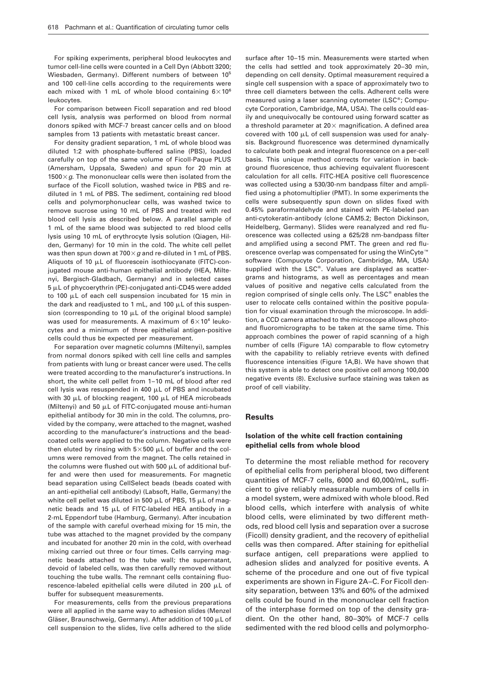For spiking experiments, peripheral blood leukocytes and tumor cell-line cells were counted in a Cell Dyn (Abbott 3200; Wiesbaden, Germany). Different numbers of between 105 and 100 cell-line cells according to the requirements were each mixed with 1 mL of whole blood containing  $6\times10^6$ leukocytes.

For comparison between Ficoll separation and red blood cell lysis, analysis was performed on blood from normal donors spiked with MCF-7 breast cancer cells and on blood samples from 13 patients with metastatic breast cancer.

For density gradient separation, 1 mL of whole blood was diluted 1:2 with phosphate-buffered saline (PBS), loaded carefully on top of the same volume of Ficoll-Paque PLUS (Amersham, Uppsala, Sweden) and spun for 20 min at 1500 $\times$ g. The mononuclear cells were then isolated from the surface of the Ficoll solution, washed twice in PBS and rediluted in 1 mL of PBS. The sediment, containing red blood cells and polymorphonuclear cells, was washed twice to remove sucrose using 10 mL of PBS and treated with red blood cell lysis as described below. A parallel sample of 1 mL of the same blood was subjected to red blood cells lysis using 10 mL of erythrocyte lysis solution (Qiagen, Hilden, Germany) for 10 min in the cold. The white cell pellet was then spun down at  $700\times q$  and re-diluted in 1 mL of PBS. Aliquots of 10  $\mu$ L of fluorescein isothiocyanate (FITC)-conjugated mouse anti-human epithelial antibody (HEA, Miltenyi, Bergisch-Gladbach, Germany) and in selected cases 5 mL of phycoerythrin (PE)-conjugated anti-CD45 were added to 100  $\mu$ L of each cell suspension incubated for 15 min in the dark and readjusted to 1 mL, and 100  $\mu$ L of this suspension (corresponding to 10  $\mu$ L of the original blood sample) was used for measurements. A maximum of  $6\times10^4$  leukocytes and a minimum of three epithelial antigen-positive cells could thus be expected per measurement.

For separation over magnetic columns (Miltenyi), samples from normal donors spiked with cell line cells and samples from patients with lung or breast cancer were used. The cells were treated according to the manufacturer's instructions. In short, the white cell pellet from 1–10 mL of blood after red cell lysis was resuspended in 400  $\mu$ L of PBS and incubated with 30  $\mu$ L of blocking reagent, 100  $\mu$ L of HEA microbeads (Miltenyi) and 50  $\mu$ L of FITC-conjugated mouse anti-human epithelial antibody for 30 min in the cold. The columns, provided by the company, were attached to the magnet, washed according to the manufacturer's instructions and the beadcoated cells were applied to the column. Negative cells were then eluted by rinsing with  $5\times500$   $\mu$ L of buffer and the columns were removed from the magnet. The cells retained in the columns were flushed out with 500  $\mu$ L of additional buffer and were then used for measurements. For magnetic bead separation using CellSelect beads (beads coated with an anti-epithelial cell antibody) (Labsoft, Halle, Germany) the white cell pellet was diluted in 500  $\mu$ L of PBS, 15  $\mu$ L of magnetic beads and 15  $\mu$ L of FITC-labeled HEA antibody in a 2-mL Eppendorf tube (Hamburg, Germany). After incubation of the sample with careful overhead mixing for 15 min, the tube was attached to the magnet provided by the company and incubated for another 20 min in the cold, with overhead mixing carried out three or four times. Cells carrying magnetic beads attached to the tube wall; the supernatant, devoid of labeled cells, was then carefully removed without touching the tube walls. The remnant cells containing fluorescence-labeled epithelial cells were diluted in 200  $\mu$ L of buffer for subsequent measurements.

For measurements, cells from the previous preparations were all applied in the same way to adhesion slides (Menzel Gläser, Braunschweig, Germany). After addition of 100  $\mu$ L of cell suspension to the slides, live cells adhered to the slide surface after 10–15 min. Measurements were started when the cells had settled and took approximately 20–30 min, depending on cell density. Optimal measurement required a single cell suspension with a space of approximately two to three cell diameters between the cells. Adherent cells were measured using a laser scanning cytometer (LSC®; Compucyte Corporation, Cambridge, MA, USA). The cells could easily and unequivocally be contoured using forward scatter as a threshold parameter at  $20\times$  magnification. A defined area covered with 100  $\mu$ L of cell suspension was used for analysis. Background fluorescence was determined dynamically to calculate both peak and integral fluorescence on a per-cell basis. This unique method corrects for variation in background fluorescence, thus achieving equivalent fluorescent calculation for all cells. FITC-HEA positive cell fluorescence was collected using a 530/30-nm bandpass filter and amplified using a photomultiplier (PMT). In some experiments the cells were subsequently spun down on slides fixed with 0.45% paraformaldehyde and stained with PE-labeled pan anti-cytokeratin-antibody (clone CAM5.2; Becton Dickinson, Heidelberg, Germany). Slides were reanalyzed and red fluorescence was collected using a 625/28 nm-bandpass filter and amplified using a second PMT. The green and red fluorescence overlap was compensated for using the WinCyte software (Compucyte Corporation, Cambridge, MA, USA) supplied with the LSC®. Values are displayed as scattergrams and histograms, as well as percentages and mean values of positive and negative cells calculated from the region comprised of single cells only. The LSC<sup>®</sup> enables the user to relocate cells contained within the positive population for visual examination through the microscope. In addition, a CCD camera attached to the microscope allows photoand fluoromicrographs to be taken at the same time. This approach combines the power of rapid scanning of a high number of cells (Figure 1A) comparable to flow cytometry with the capability to reliably retrieve events with defined fluorescence intensities (Figure 1A,B). We have shown that this system is able to detect one positive cell among 100,000 negative events (8). Exclusive surface staining was taken as proof of cell viability.

#### **Results**

### **Isolation of the white cell fraction containing epithelial cells from whole blood**

To determine the most reliable method for recovery of epithelial cells from peripheral blood, two different quantities of MCF-7 cells, 6000 and 60,000/mL, sufficient to give reliably measurable numbers of cells in a model system, were admixed with whole blood. Red blood cells, which interfere with analysis of white blood cells, were eliminated by two different methods, red blood cell lysis and separation over a sucrose (Ficoll) density gradient, and the recovery of epithelial cells was then compared. After staining for epithelial surface antigen, cell preparations were applied to adhesion slides and analyzed for positive events. A scheme of the procedure and one out of five typical experiments are shown in Figure 2A–C. For Ficoll density separation, between 13% and 60% of the admixed cells could be found in the mononuclear cell fraction of the interphase formed on top of the density gradient. On the other hand, 80–30% of MCF-7 cells sedimented with the red blood cells and polymorpho-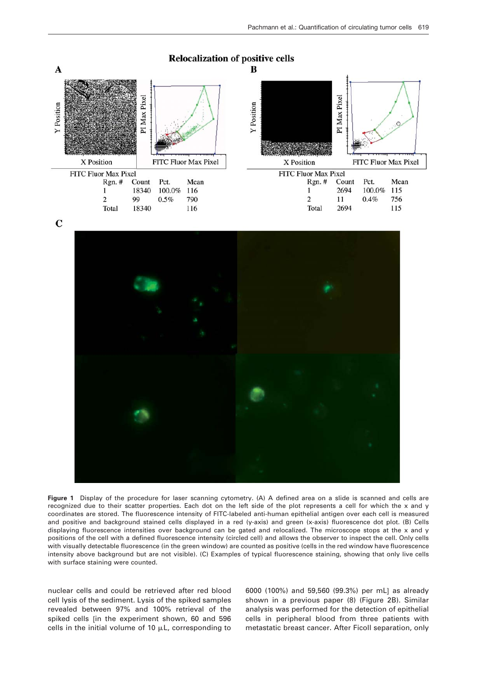

**Figure 1** Display of the procedure for laser scanning cytometry. (A) A defined area on a slide is scanned and cells are recognized due to their scatter properties. Each dot on the left side of the plot represents a cell for which the x and y coordinates are stored. The fluorescence intensity of FITC-labeled anti-human epithelial antigen over each cell is measured and positive and background stained cells displayed in a red (y-axis) and green (x-axis) fluorescence dot plot. (B) Cells displaying fluorescence intensities over background can be gated and relocalized. The microscope stops at the x and y positions of the cell with a defined fluorescence intensity (circled cell) and allows the observer to inspect the cell. Only cells with visually detectable fluorescence (in the green window) are counted as positive (cells in the red window have fluorescence intensity above background but are not visible). (C) Examples of typical fluorescence staining, showing that only live cells with surface staining were counted.

nuclear cells and could be retrieved after red blood cell lysis of the sediment. Lysis of the spiked samples revealed between 97% and 100% retrieval of the spiked cells [in the experiment shown, 60 and 596 cells in the initial volume of 10  $\mu$ L, corresponding to

6000 (100%) and 59,560 (99.3%) per mL1 as already shown in a previous paper (8) (Figure 2B). Similar analysis was performed for the detection of epithelial cells in peripheral blood from three patients with metastatic breast cancer. After Ficoll separation, only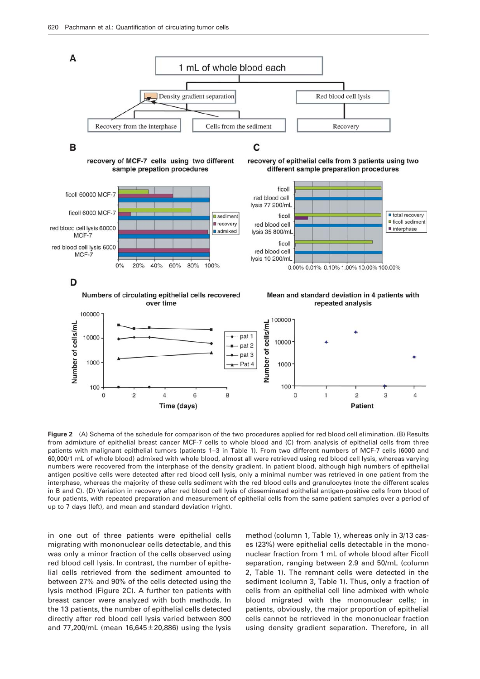

**Figure 2** (A) Schema of the schedule for comparison of the two procedures applied for red blood cell elimination. (B) Results from admixture of epithelial breast cancer MCF-7 cells to whole blood and (C) from analysis of epithelial cells from three patients with malignant epithelial tumors (patients 1–3 in Table 1). From two different numbers of MCF-7 cells (6000 and 60,000/1 mL of whole blood) admixed with whole blood, almost all were retrieved using red blood cell lysis, whereas varying numbers were recovered from the interphase of the density gradient. In patient blood, although high numbers of epithelial antigen positive cells were detected after red blood cell lysis, only a minimal number was retrieved in one patient from the interphase, whereas the majority of these cells sediment with the red blood cells and granulocytes (note the different scales in B and C). (D) Variation in recovery after red blood cell lysis of disseminated epithelial antigen-positive cells from blood of four patients, with repeated preparation and measurement of epithelial cells from the same patient samples over a period of up to 7 days (left), and mean and standard deviation (right).

in one out of three patients were epithelial cells migrating with mononuclear cells detectable, and this was only a minor fraction of the cells observed using red blood cell lysis. In contrast, the number of epithelial cells retrieved from the sediment amounted to between 27% and 90% of the cells detected using the lysis method (Figure 2C). A further ten patients with breast cancer were analyzed with both methods. In the 13 patients, the number of epithelial cells detected directly after red blood cell lysis varied between 800 and 77,200/mL (mean  $16,645 \pm 20,886$ ) using the lysis method (column 1, Table 1), whereas only in 3/13 cases (23%) were epithelial cells detectable in the mononuclear fraction from 1 mL of whole blood after Ficoll separation, ranging between 2.9 and 50/mL (column 2, Table 1). The remnant cells were detected in the sediment (column 3, Table 1). Thus, only a fraction of cells from an epithelial cell line admixed with whole blood migrated with the mononuclear cells; in patients, obviously, the major proportion of epithelial cells cannot be retrieved in the mononuclear fraction using density gradient separation. Therefore, in all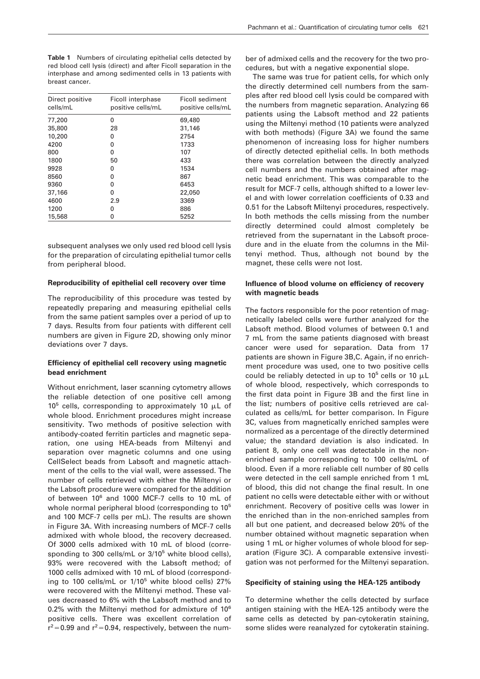**Table 1** Numbers of circulating epithelial cells detected by red blood cell lysis (direct) and after Ficoll separation in the interphase and among sedimented cells in 13 patients with breast cancer.

| Direct positive<br>cells/mL | Ficoll interphase<br>positive cells/mL | <b>Ficoll sediment</b><br>positive cells/mL |  |  |  |
|-----------------------------|----------------------------------------|---------------------------------------------|--|--|--|
| 77,200                      | 0                                      | 69,480                                      |  |  |  |
| 35,800                      | 28                                     | 31,146                                      |  |  |  |
| 10,200                      | 0                                      | 2754                                        |  |  |  |
| 4200                        | 0                                      | 1733                                        |  |  |  |
| 800                         | 0                                      | 107                                         |  |  |  |
| 1800                        | 50                                     | 433                                         |  |  |  |
| 9928                        | 0                                      | 1534                                        |  |  |  |
| 8560                        | 0                                      | 867                                         |  |  |  |
| 9360                        | 0                                      | 6453                                        |  |  |  |
| 37,166                      | 0                                      | 22,050                                      |  |  |  |
| 4600                        | 2.9                                    | 3369                                        |  |  |  |
| 1200                        | 0                                      | 886                                         |  |  |  |
| 15,568                      | 0                                      | 5252                                        |  |  |  |

subsequent analyses we only used red blood cell lysis for the preparation of circulating epithelial tumor cells from peripheral blood.

#### **Reproducibility of epithelial cell recovery over time**

The reproducibility of this procedure was tested by repeatedly preparing and measuring epithelial cells from the same patient samples over a period of up to 7 days. Results from four patients with different cell numbers are given in Figure 2D, showing only minor deviations over 7 days.

#### **Efficiency of epithelial cell recovery using magnetic bead enrichment**

Without enrichment, laser scanning cytometry allows the reliable detection of one positive cell among  $10<sup>5</sup>$  cells, corresponding to approximately 10  $\mu$ L of whole blood. Enrichment procedures might increase sensitivity. Two methods of positive selection with antibody-coated ferritin particles and magnetic separation, one using HEA-beads from Miltenyi and separation over magnetic columns and one using CellSelect beads from Labsoft and magnetic attachment of the cells to the vial wall, were assessed. The number of cells retrieved with either the Miltenyi or the Labsoft procedure were compared for the addition of between 10<sup>6</sup> and 1000 MCF-7 cells to 10 mL of whole normal peripheral blood (corresponding to 10<sup>5</sup> and 100 MCF-7 cells per mL). The results are shown in Figure 3A. With increasing numbers of MCF-7 cells admixed with whole blood, the recovery decreased. Of 3000 cells admixed with 10 mL of blood (corresponding to 300 cells/mL or 3/10<sup>5</sup> white blood cells), 93% were recovered with the Labsoft method; of 1000 cells admixed with 10 mL of blood (corresponding to 100 cells/mL or  $1/10^5$  white blood cells) 27% were recovered with the Miltenyi method. These values decreased to 6% with the Labsoft method and to 0.2% with the Miltenyi method for admixture of 106 positive cells. There was excellent correlation of  $r^2$  = 0.99 and  $r^2$  = 0.94, respectively, between the num-

ber of admixed cells and the recovery for the two procedures, but with a negative exponential slope.

The same was true for patient cells, for which only the directly determined cell numbers from the samples after red blood cell lysis could be compared with the numbers from magnetic separation. Analyzing 66 patients using the Labsoft method and 22 patients using the Miltenyi method (10 patients were analyzed with both methods) (Figure 3A) we found the same phenomenon of increasing loss for higher numbers of directly detected epithelial cells. In both methods there was correlation between the directly analyzed cell numbers and the numbers obtained after magnetic bead enrichment. This was comparable to the result for MCF-7 cells, although shifted to a lower level and with lower correlation coefficients of 0.33 and 0.51 for the Labsoft Miltenyi procedures, respectively. In both methods the cells missing from the number directly determined could almost completely be retrieved from the supernatant in the Labsoft procedure and in the eluate from the columns in the Miltenyi method. Thus, although not bound by the magnet, these cells were not lost.

## **Influence of blood volume on efficiency of recovery with magnetic beads**

The factors responsible for the poor retention of magnetically labeled cells were further analyzed for the Labsoft method. Blood volumes of between 0.1 and 7 mL from the same patients diagnosed with breast cancer were used for separation. Data from 17 patients are shown in Figure 3B,C. Again, if no enrichment procedure was used, one to two positive cells could be reliably detected in up to  $10^5$  cells or  $10 \mu L$ of whole blood, respectively, which corresponds to the first data point in Figure 3B and the first line in the list; numbers of positive cells retrieved are calculated as cells/mL for better comparison. In Figure 3C, values from magnetically enriched samples were normalized as a percentage of the directly determined value; the standard deviation is also indicated. In patient 8, only one cell was detectable in the nonenriched sample corresponding to 100 cells/mL of blood. Even if a more reliable cell number of 80 cells were detected in the cell sample enriched from 1 mL of blood, this did not change the final result. In one patient no cells were detectable either with or without enrichment. Recovery of positive cells was lower in the enriched than in the non-enriched samples from all but one patient, and decreased below 20% of the number obtained without magnetic separation when using 1 mL or higher volumes of whole blood for separation (Figure 3C). A comparable extensive investigation was not performed for the Miltenyi separation.

#### **Specificity of staining using the HEA-125 antibody**

To determine whether the cells detected by surface antigen staining with the HEA-125 antibody were the same cells as detected by pan-cytokeratin staining, some slides were reanalyzed for cytokeratin staining.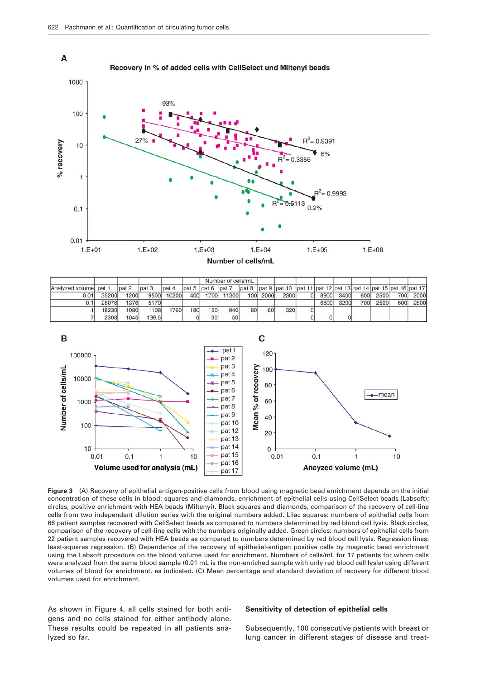

|                        |       |       |       |         |                         |      | Number of cells/mL |    |          |                                                                                                                                               |    |      |      |     |      |     |      |
|------------------------|-------|-------|-------|---------|-------------------------|------|--------------------|----|----------|-----------------------------------------------------------------------------------------------------------------------------------------------|----|------|------|-----|------|-----|------|
| Analyzed volumel pat 1 |       | pat 2 | pat 3 | l pat 4 | $pat 5$ $pat 6$ $pat 7$ |      |                    |    |          | $\lceil$ pat 8 $\lceil$ pat 9 $\lceil$ pat 10 $\lceil$ pat 11 $\lceil$ pat 12 $\lceil$ pat 14 $\lceil$ pat 15 $\lceil$ pat 16 $\lceil$ pat 17 |    |      |      |     |      |     |      |
| 0.01                   | 35200 | 1200  | 9500  | 10200   | 400                     | 1700 | 11300              |    | 100 2000 | 2300                                                                                                                                          | Οl | 8900 | 3400 | 600 | 2500 | 700 | 2000 |
|                        | 26076 | 1376  | 5170  |         |                         |      |                    |    |          |                                                                                                                                               |    | 6600 | 3200 | 700 | 2500 | 600 | 2800 |
|                        | 18230 | 080   | 1108  | 1760    | 180                     | 150  | 940                | 80 | 60       | 320                                                                                                                                           |    |      |      |     |      |     |      |
|                        | 2308  | 045   | 139.6 |         |                         | 30   | 50                 |    |          |                                                                                                                                               |    |      |      |     |      |     |      |



**Figure 3** (A) Recovery of epithelial antigen-positive cells from blood using magnetic bead enrichment depends on the initial concentration of these cells in blood: squares and diamonds, enrichment of epithelial cells using CellSelect beads (Labsoft); circles, positive enrichment with HEA beads (Miltenyi). Black squares and diamonds, comparison of the recovery of cell-line cells from two independent dilution series with the original numbers added. Lilac squares: numbers of epithelial cells from 66 patient samples recovered with CellSelect beads as compared to numbers determined by red blood cell lysis. Black circles, comparison of the recovery of cell-line cells with the numbers originally added. Green circles: numbers of epithelial cells from 22 patient samples recovered with HEA beads as compared to numbers determined by red blood cell lysis. Regression lines: least-squares regression. (B) Dependence of the recovery of epithelial-antigen positive cells by magnetic bead enrichment using the Labsoft procedure on the blood volume used for enrichment. Numbers of cells/mL for 17 patients for whom cells were analyzed from the same blood sample (0.01 mL is the non-enriched sample with only red blood cell lysis) using different volumes of blood for enrichment, as indicated. (C) Mean percentage and standard deviation of recovery for different blood volumes used for enrichment.

As shown in Figure 4, all cells stained for both antigens and no cells stained for either antibody alone. These results could be repeated in all patients analyzed so far.

#### **Sensitivity of detection of epithelial cells**

Subsequently, 100 consecutive patients with breast or lung cancer in different stages of disease and treat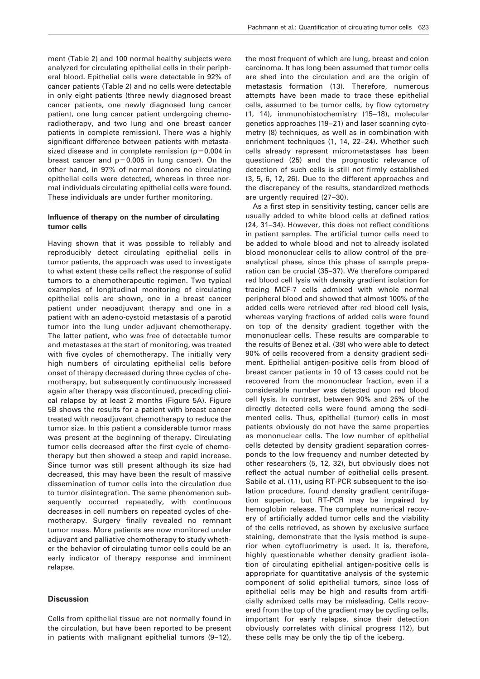ment (Table 2) and 100 normal healthy subjects were analyzed for circulating epithelial cells in their peripheral blood. Epithelial cells were detectable in 92% of cancer patients (Table 2) and no cells were detectable in only eight patients (three newly diagnosed breast cancer patients, one newly diagnosed lung cancer patient, one lung cancer patient undergoing chemoradiotherapy, and two lung and one breast cancer patients in complete remission). There was a highly significant difference between patients with metastasized disease and in complete remission ( $p=0.004$  in breast cancer and  $p=0.005$  in lung cancer). On the other hand, in 97% of normal donors no circulating epithelial cells were detected, whereas in three normal individuals circulating epithelial cells were found. These individuals are under further monitoring.

## **Influence of therapy on the number of circulating tumor cells**

Having shown that it was possible to reliably and reproducibly detect circulating epithelial cells in tumor patients, the approach was used to investigate to what extent these cells reflect the response of solid tumors to a chemotherapeutic regimen. Two typical examples of longitudinal monitoring of circulating epithelial cells are shown, one in a breast cancer patient under neoadjuvant therapy and one in a patient with an adeno-cystoid metastasis of a parotid tumor into the lung under adjuvant chemotherapy. The latter patient, who was free of detectable tumor and metastases at the start of monitoring, was treated with five cycles of chemotherapy. The initially very high numbers of circulating epithelial cells before onset of therapy decreased during three cycles of chemotherapy, but subsequently continuously increased again after therapy was discontinued, preceding clinical relapse by at least 2 months (Figure 5A). Figure 5B shows the results for a patient with breast cancer treated with neoadjuvant chemotherapy to reduce the tumor size. In this patient a considerable tumor mass was present at the beginning of therapy. Circulating tumor cells decreased after the first cycle of chemotherapy but then showed a steep and rapid increase. Since tumor was still present although its size had decreased, this may have been the result of massive dissemination of tumor cells into the circulation due to tumor disintegration. The same phenomenon subsequently occurred repeatedly, with continuous decreases in cell numbers on repeated cycles of chemotherapy. Surgery finally revealed no remnant tumor mass. More patients are now monitored under adjuvant and palliative chemotherapy to study whether the behavior of circulating tumor cells could be an early indicator of therapy response and imminent relapse.

#### **Discussion**

Cells from epithelial tissue are not normally found in the circulation, but have been reported to be present in patients with malignant epithelial tumors (9–12),

the most frequent of which are lung, breast and colon carcinoma. It has long been assumed that tumor cells are shed into the circulation and are the origin of metastasis formation (13). Therefore, numerous attempts have been made to trace these epithelial cells, assumed to be tumor cells, by flow cytometry (1, 14), immunohistochemistry (15–18), molecular genetics approaches (19–21) and laser scanning cytometry (8) techniques, as well as in combination with enrichment techniques (1, 14, 22–24). Whether such cells already represent micrometastases has been questioned (25) and the prognostic relevance of detection of such cells is still not firmly established (3, 5, 6, 12, 26). Due to the different approaches and the discrepancy of the results, standardized methods are urgently required (27–30).

As a first step in sensitivity testing, cancer cells are usually added to white blood cells at defined ratios (24, 31–34). However, this does not reflect conditions in patient samples. The artificial tumor cells need to be added to whole blood and not to already isolated blood mononuclear cells to allow control of the preanalytical phase, since this phase of sample preparation can be crucial (35–37). We therefore compared red blood cell lysis with density gradient isolation for tracing MCF-7 cells admixed with whole normal peripheral blood and showed that almost 100% of the added cells were retrieved after red blood cell lysis, whereas varying fractions of added cells were found on top of the density gradient together with the mononuclear cells. These results are comparable to the results of Benez et al. (38) who were able to detect 90% of cells recovered from a density gradient sediment. Epithelial antigen-positive cells from blood of breast cancer patients in 10 of 13 cases could not be recovered from the mononuclear fraction, even if a considerable number was detected upon red blood cell lysis. In contrast, between 90% and 25% of the directly detected cells were found among the sedimented cells. Thus, epithelial (tumor) cells in most patients obviously do not have the same properties as mononuclear cells. The low number of epithelial cells detected by density gradient separation corresponds to the low frequency and number detected by other researchers (5, 12, 32), but obviously does not reflect the actual number of epithelial cells present. Sabile et al. (11), using RT-PCR subsequent to the isolation procedure, found density gradient centrifugation superior, but RT-PCR may be impaired by hemoglobin release. The complete numerical recovery of artificially added tumor cells and the viability of the cells retrieved, as shown by exclusive surface staining, demonstrate that the lysis method is superior when cytofluorimetry is used. It is, therefore, highly questionable whether density gradient isolation of circulating epithelial antigen-positive cells is appropriate for quantitative analysis of the systemic component of solid epithelial tumors, since loss of epithelial cells may be high and results from artificially admixed cells may be misleading. Cells recovered from the top of the gradient may be cycling cells, important for early relapse, since their detection obviously correlates with clinical progress (12), but these cells may be only the tip of the iceberg.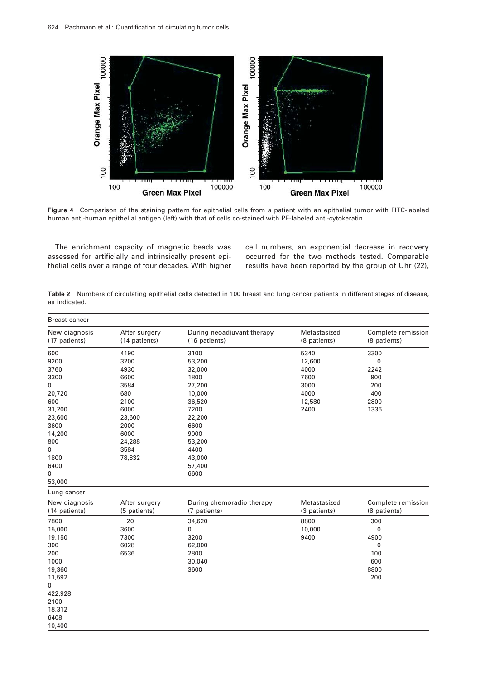

**Figure 4** Comparison of the staining pattern for epithelial cells from a patient with an epithelial tumor with FITC-labeled human anti-human epithelial antigen (left) with that of cells co-stained with PE-labeled anti-cytokeratin.

The enrichment capacity of magnetic beads was assessed for artificially and intrinsically present epithelial cells over a range of four decades. With higher cell numbers, an exponential decrease in recovery occurred for the two methods tested. Comparable results have been reported by the group of Uhr (22),

|               | Table 2 Numbers of circulating epithelial cells detected in 100 breast and lung cancer patients in different stages of disease, |  |  |  |
|---------------|---------------------------------------------------------------------------------------------------------------------------------|--|--|--|
| as indicated. |                                                                                                                                 |  |  |  |

| Breast cancer                                                                                                          |                                                                                           |                                                                                                            |                                        |                                                    |  |  |
|------------------------------------------------------------------------------------------------------------------------|-------------------------------------------------------------------------------------------|------------------------------------------------------------------------------------------------------------|----------------------------------------|----------------------------------------------------|--|--|
| New diagnosis<br>After surgery<br>(14 patients)<br>(17 patients)                                                       |                                                                                           | During neoadjuvant therapy<br>(16 patients)                                                                | Metastasized<br>(8 patients)           | Complete remission<br>(8 patients)                 |  |  |
| 600<br>9200<br>3760                                                                                                    | 4190<br>3200<br>4930                                                                      | 3100<br>53,200<br>32,000                                                                                   | 5340<br>12,600<br>4000                 | 3300<br>0<br>2242                                  |  |  |
| 3300<br>0<br>20,720<br>600<br>31,200<br>23,600<br>3600<br>14,200<br>800<br>0<br>1800<br>6400                           | 6600<br>3584<br>680<br>2100<br>6000<br>23,600<br>2000<br>6000<br>24,288<br>3584<br>78,832 | 1800<br>27,200<br>10,000<br>36,520<br>7200<br>22,200<br>6600<br>9000<br>53,200<br>4400<br>43,000<br>57,400 | 7600<br>3000<br>4000<br>12,580<br>2400 | 900<br>200<br>400<br>2800<br>1336                  |  |  |
| 0<br>53,000<br>Lung cancer                                                                                             |                                                                                           | 6600                                                                                                       |                                        |                                                    |  |  |
| New diagnosis<br>(14 patients)                                                                                         | After surgery<br>(5 patients)                                                             | During chemoradio therapy<br>(7 patients)                                                                  | Metastasized<br>(3 patients)           | Complete remission<br>(8 patients)                 |  |  |
| 7800<br>15,000<br>19,150<br>300<br>200<br>1000<br>19,360<br>11,592<br>0<br>422,928<br>2100<br>18,312<br>6408<br>10,400 | 20<br>3600<br>7300<br>6028<br>6536                                                        | 34,620<br>0<br>3200<br>62,000<br>2800<br>30,040<br>3600                                                    | 8800<br>10,000<br>9400                 | 300<br>0<br>4900<br>0<br>100<br>600<br>8800<br>200 |  |  |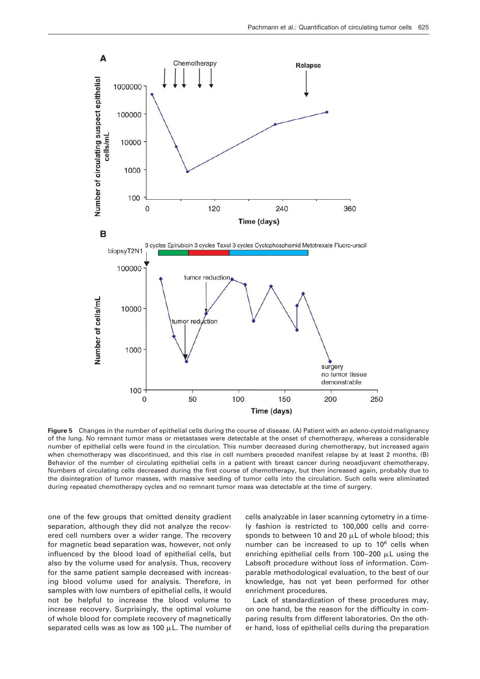

**Figure 5** Changes in the number of epithelial cells during the course of disease. (A) Patient with an adeno-cystoid malignancy of the lung. No remnant tumor mass or metastases were detectable at the onset of chemotherapy, whereas a considerable number of epithelial cells were found in the circulation. This number decreased during chemotherapy, but increased again when chemotherapy was discontinued, and this rise in cell numbers preceded manifest relapse by at least 2 months. (B) Behavior of the number of circulating epithelial cells in a patient with breast cancer during neoadjuvant chemotherapy. Numbers of circulating cells decreased during the first course of chemotherapy, but then increased again, probably due to the disintegration of tumor masses, with massive seeding of tumor cells into the circulation. Such cells were eliminated during repeated chemotherapy cycles and no remnant tumor mass was detectable at the time of surgery.

one of the few groups that omitted density gradient separation, although they did not analyze the recovered cell numbers over a wider range. The recovery for magnetic bead separation was, however, not only influenced by the blood load of epithelial cells, but also by the volume used for analysis. Thus, recovery for the same patient sample decreased with increasing blood volume used for analysis. Therefore, in samples with low numbers of epithelial cells, it would not be helpful to increase the blood volume to increase recovery. Surprisingly, the optimal volume of whole blood for complete recovery of magnetically separated cells was as low as 100  $\mu$ L. The number of cells analyzable in laser scanning cytometry in a timely fashion is restricted to 100,000 cells and corresponds to between 10 and 20  $\mu$ L of whole blood; this number can be increased to up to 10<sup>6</sup> cells when enriching epithelial cells from  $100-200$   $\mu$ L using the Labsoft procedure without loss of information. Comparable methodological evaluation, to the best of our knowledge, has not yet been performed for other enrichment procedures.

Lack of standardization of these procedures may, on one hand, be the reason for the difficulty in comparing results from different laboratories. On the other hand, loss of epithelial cells during the preparation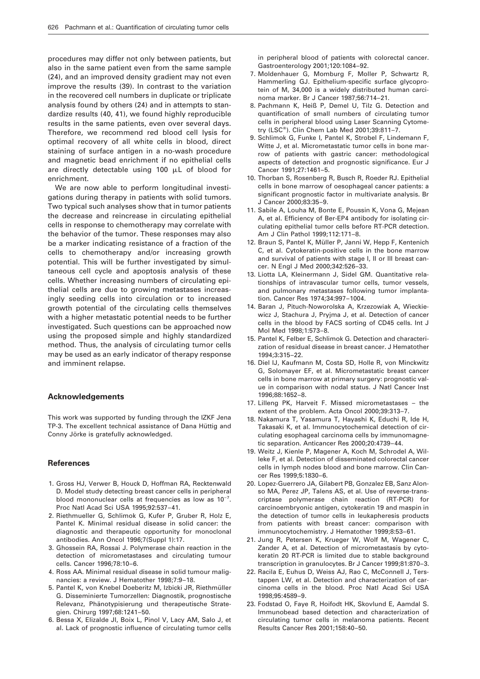procedures may differ not only between patients, but also in the same patient even from the same sample (24), and an improved density gradient may not even improve the results (39). In contrast to the variation in the recovered cell numbers in duplicate or triplicate analysis found by others (24) and in attempts to standardize results (40, 41), we found highly reproducible results in the same patients, even over several days. Therefore, we recommend red blood cell lysis for optimal recovery of all white cells in blood, direct staining of surface antigen in a no-wash procedure and magnetic bead enrichment if no epithelial cells are directly detectable using 100  $\mu$ L of blood for enrichment.

We are now able to perform longitudinal investigations during therapy in patients with solid tumors. Two typical such analyses show that in tumor patients the decrease and reincrease in circulating epithelial cells in response to chemotherapy may correlate with the behavior of the tumor. These responses may also be a marker indicating resistance of a fraction of the cells to chemotherapy and/or increasing growth potential. This will be further investigated by simultaneous cell cycle and apoptosis analysis of these cells. Whether increasing numbers of circulating epithelial cells are due to growing metastases increasingly seeding cells into circulation or to increased growth potential of the circulating cells themselves with a higher metastatic potential needs to be further investigated. Such questions can be approached now using the proposed simple and highly standardized method. Thus, the analysis of circulating tumor cells may be used as an early indicator of therapy response and imminent relapse.

#### **Acknowledgements**

This work was supported by funding through the IZKF Jena TP-3. The excellent technical assistance of Dana Hüttig and Conny Jörke is gratefully acknowledged.

#### **References**

- 1. Gross HJ, Verwer B, Houck D, Hoffman RA, Recktenwald D. Model study detecting breast cancer cells in peripheral blood mononuclear cells at frequencies as low as  $10^{-7}$ . Proc Natl Acad Sci USA 1995;92:537–41.
- 2. Riethmueller G, Schlimok G, Kufer P, Gruber R, Holz E, Pantel K. Minimal residual disease in solid cancer: the diagnostic and therapeutic opportunity for monoclonal antibodies. Ann Oncol 1996;7(Suppl 1):17.
- 3. Ghossein RA, Rossai J. Polymerase chain reaction in the detection of micrometastases and circulating tumour cells. Cancer 1996;78:10–6.
- 4. Ross AA. Minimal residual disease in solid tumour malignancies: a review. J Hematother 1998;7:9–18.
- 5. Pantel K, von Knebel Doeberitz M, Izbicki JR, Riethmüller G. Disseminierte Tumorzellen: Diagnostik, prognostische Relevanz, Phänotypisierung und therapeutische Strategien. Chirurg 1997;68:1241–50.
- 6. Bessa X, Elizalde JI, Boix L, Pinol V, Lacy AM, Salo J, et al. Lack of prognostic influence of circulating tumor cells

in peripheral blood of patients with colorectal cancer. Gastroenterology 2001;120:1084–92.

- 7. Moldenhauer G, Momburg F, Moller P, Schwartz R, Hammerling GJ. Epithelium-specific surface glycoprotein of  $M_r$  34,000 is a widely distributed human carcinoma marker. Br J Cancer 1987;56:714–21.
- 8. Pachmann K, Heiß P, Demel U, Tilz G. Detection and quantification of small numbers of circulating tumor cells in peripheral blood using Laser Scanning Cytometry (LSC-). Clin Chem Lab Med 2001;39:811–7.
- 9. Schlimok G, Funke I, Pantel K, Strobel F, Lindemann F, Witte J, et al. Micrometastatic tumor cells in bone marrow of patients with gastric cancer: methodological aspects of detection and prognostic significance. Eur J Cancer 1991;27:1461–5.
- 10. Thorban S, Rosenberg R, Busch R, Roeder RJ. Epithelial cells in bone marrow of oesophageal cancer patients: a significant prognostic factor in multivariate analysis. Br J Cancer 2000;83:35–9.
- 11. Sabile A, Louha M, Bonte E, Poussin K, Vona G, Mejean A, et al. Efficiency of Ber-EP4 antibody for isolating circulating epithelial tumor cells before RT-PCR detection. Am J Clin Pathol 1999;112:171–8.
- 12. Braun S, Pantel K, Müller P, Janni W, Hepp F, Kentenich C, et al. Cytokeratin-positive cells in the bone marrow and survival of patients with stage I, II or III breast cancer. N Engl J Med 2000;342:526–33.
- 13. Liotta LA, Kleinermann J, Sidel GM. Quantitative relationships of intravascular tumor cells, tumor vessels, and pulmonary metastases following tumor implantation. Cancer Res 1974;34:997–1004.
- 14. Baran J, Pituch-Noworolska A, Krzezowiak A, Wieckiewicz J, Stachura J, Pryjma J, et al. Detection of cancer cells in the blood by FACS sorting of CD45 cells. Int J Mol Med 1998;1:573–8.
- 15. Pantel K, Felber E, Schlimok G. Detection and characterization of residual disease in breast cancer. J Hematother 1994;3:315–22.
- 16. Diel IJ, Kaufmann M, Costa SD, Holle R, von Minckwitz G, Solomayer EF, et al. Micrometastatic breast cancer cells in bone marrow at primary surgery: prognostic value in comparison with nodal status. J Natl Cancer Inst 1996;88:1652–8.
- 17. Lilleng PK, Harveit F. Missed micrometastases the extent of the problem. Acta Oncol 2000;39:313–7.
- 18. Nakamura T, Yasamura T, Hayashi K, Educhi R, Ide H, Takasaki K, et al. Immunocytochemical detection of circulating esophageal carcinoma cells by immunomagnetic separation. Anticancer Res 2000;20:4739–44.
- 19. Weitz J, Kienle P, Magener A, Koch M, Schrodel A, Willeke F, et al. Detection of disseminated colorectal cancer cells in lymph nodes blood and bone marrow. Clin Cancer Res 1999;5:1830–6.
- 20. Lopez-Guerrero JA, Gilabert PB, Gonzalez EB, Sanz Alonso MA, Perez JP, Talens AS, et al. Use of reverse-transcriptase polymerase chain reaction (RT-PCR) for carcinoembryonic antigen, cytokeratin 19 and maspin in the detection of tumor cells in leukapheresis products from patients with breast cancer: comparison with immunocytochemistry. J Hematother 1999;8:53–61.
- 21. Jung R, Petersen K, Krueger W, Wolf M, Wagener C, Zander A, et al. Detection of micrometastasis by cytokeratin 20 RT-PCR is limited due to stable background transcription in granulocytes. Br J Cancer 1999;81:870–3.
- 22. Racila E, Euhus D, Weiss AJ, Rao C, McConnell J, Terstappen LW, et al. Detection and characterization of carcinoma cells in the blood. Proc Natl Acad Sci USA 1998;95:4589–9.
- 23. Fodstad O, Faye R, Hoifodt HK, Skovlund E, Aamdal S. Immunobead based detection and characterization of circulating tumor cells in melanoma patients. Recent Results Cancer Res 2001;158:40–50.